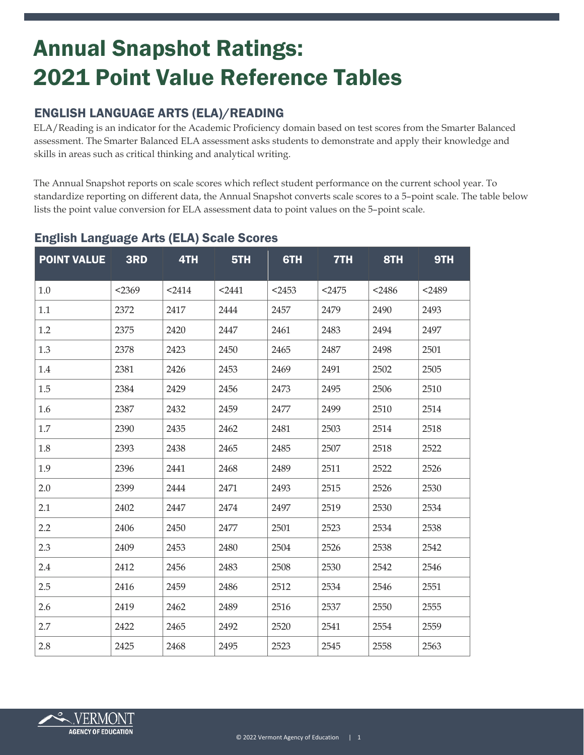# Annual Snapshot Ratings: 2021 Point Value Reference Tables

# ENGLISH LANGUAGE ARTS (ELA)/READING

ELA/Reading is an indicator for the Academic Proficiency domain based on test scores from the Smarter Balanced assessment. The Smarter Balanced ELA assessment asks students to demonstrate and apply their knowledge and skills in areas such as critical thinking and analytical writing.

The Annual Snapshot reports on scale scores which reflect student performance on the current school year. To standardize reporting on different data, the Annual Snapshot converts scale scores to a 5–point scale. The table below lists the point value conversion for ELA assessment data to point values on the 5–point scale.

| <b>POINT VALUE</b> | 3RD    | 4TH    | 5TH    | 6TH      | 7TH    | 8TH      | 9TH    |
|--------------------|--------|--------|--------|----------|--------|----------|--------|
| 1.0                | < 2369 | $2414$ | $2441$ | $<$ 2453 | $2475$ | $<$ 2486 | $2489$ |
| 1.1                | 2372   | 2417   | 2444   | 2457     | 2479   | 2490     | 2493   |
| 1.2                | 2375   | 2420   | 2447   | 2461     | 2483   | 2494     | 2497   |
| 1.3                | 2378   | 2423   | 2450   | 2465     | 2487   | 2498     | 2501   |
| 1.4                | 2381   | 2426   | 2453   | 2469     | 2491   | 2502     | 2505   |
| 1.5                | 2384   | 2429   | 2456   | 2473     | 2495   | 2506     | 2510   |
| 1.6                | 2387   | 2432   | 2459   | 2477     | 2499   | 2510     | 2514   |
| 1.7                | 2390   | 2435   | 2462   | 2481     | 2503   | 2514     | 2518   |
| 1.8                | 2393   | 2438   | 2465   | 2485     | 2507   | 2518     | 2522   |
| 1.9                | 2396   | 2441   | 2468   | 2489     | 2511   | 2522     | 2526   |
| 2.0                | 2399   | 2444   | 2471   | 2493     | 2515   | 2526     | 2530   |
| 2.1                | 2402   | 2447   | 2474   | 2497     | 2519   | 2530     | 2534   |
| 2.2                | 2406   | 2450   | 2477   | 2501     | 2523   | 2534     | 2538   |
| 2.3                | 2409   | 2453   | 2480   | 2504     | 2526   | 2538     | 2542   |
| 2.4                | 2412   | 2456   | 2483   | 2508     | 2530   | 2542     | 2546   |
| 2.5                | 2416   | 2459   | 2486   | 2512     | 2534   | 2546     | 2551   |
| 2.6                | 2419   | 2462   | 2489   | 2516     | 2537   | 2550     | 2555   |
| 2.7                | 2422   | 2465   | 2492   | 2520     | 2541   | 2554     | 2559   |
| 2.8                | 2425   | 2468   | 2495   | 2523     | 2545   | 2558     | 2563   |

## English Language Arts (ELA) Scale Scores

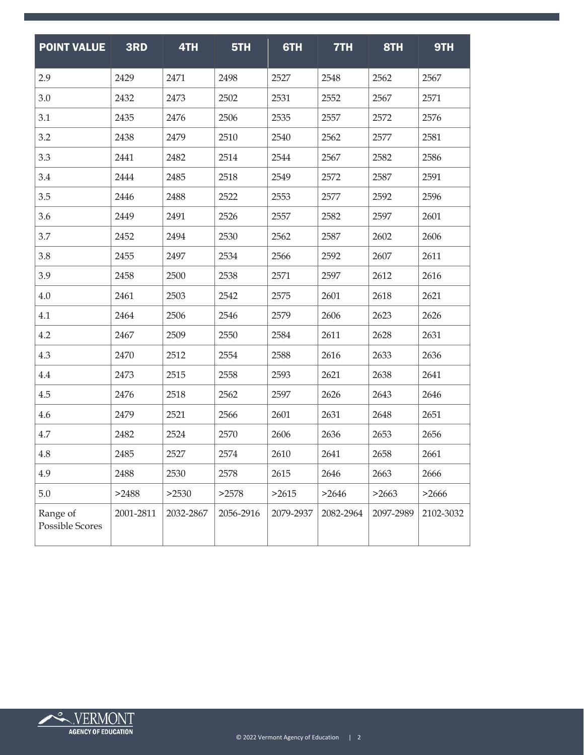| <b>POINT VALUE</b>          | 3RD       | 4TH       | 5TH       | 6TH       | 7TH       | 8TH       | 9TH       |
|-----------------------------|-----------|-----------|-----------|-----------|-----------|-----------|-----------|
| 2.9                         | 2429      | 2471      | 2498      | 2527      | 2548      | 2562      | 2567      |
| 3.0                         | 2432      | 2473      | 2502      | 2531      | 2552      | 2567      | 2571      |
| 3.1                         | 2435      | 2476      | 2506      | 2535      | 2557      | 2572      | 2576      |
| 3.2                         | 2438      | 2479      | 2510      | 2540      | 2562      | 2577      | 2581      |
| 3.3                         | 2441      | 2482      | 2514      | 2544      | 2567      | 2582      | 2586      |
| 3.4                         | 2444      | 2485      | 2518      | 2549      | 2572      | 2587      | 2591      |
| 3.5                         | 2446      | 2488      | 2522      | 2553      | 2577      | 2592      | 2596      |
| 3.6                         | 2449      | 2491      | 2526      | 2557      | 2582      | 2597      | 2601      |
| 3.7                         | 2452      | 2494      | 2530      | 2562      | 2587      | 2602      | 2606      |
| 3.8                         | 2455      | 2497      | 2534      | 2566      | 2592      | 2607      | 2611      |
| 3.9                         | 2458      | 2500      | 2538      | 2571      | 2597      | 2612      | 2616      |
| 4.0                         | 2461      | 2503      | 2542      | 2575      | 2601      | 2618      | 2621      |
| 4.1                         | 2464      | 2506      | 2546      | 2579      | 2606      | 2623      | 2626      |
| 4.2                         | 2467      | 2509      | 2550      | 2584      | 2611      | 2628      | 2631      |
| 4.3                         | 2470      | 2512      | 2554      | 2588      | 2616      | 2633      | 2636      |
| 4.4                         | 2473      | 2515      | 2558      | 2593      | 2621      | 2638      | 2641      |
| 4.5                         | 2476      | 2518      | 2562      | 2597      | 2626      | 2643      | 2646      |
| 4.6                         | 2479      | 2521      | 2566      | 2601      | 2631      | 2648      | 2651      |
| 4.7                         | 2482      | 2524      | 2570      | 2606      | 2636      | 2653      | 2656      |
| 4.8                         | 2485      | 2527      | 2574      | 2610      | 2641      | 2658      | 2661      |
| 4.9                         | 2488      | 2530      | 2578      | 2615      | 2646      | 2663      | 2666      |
| 5.0                         | >2488     | >2530     | >2578     | >2615     | >2646     | >2663     | >2666     |
| Range of<br>Possible Scores | 2001-2811 | 2032-2867 | 2056-2916 | 2079-2937 | 2082-2964 | 2097-2989 | 2102-3032 |

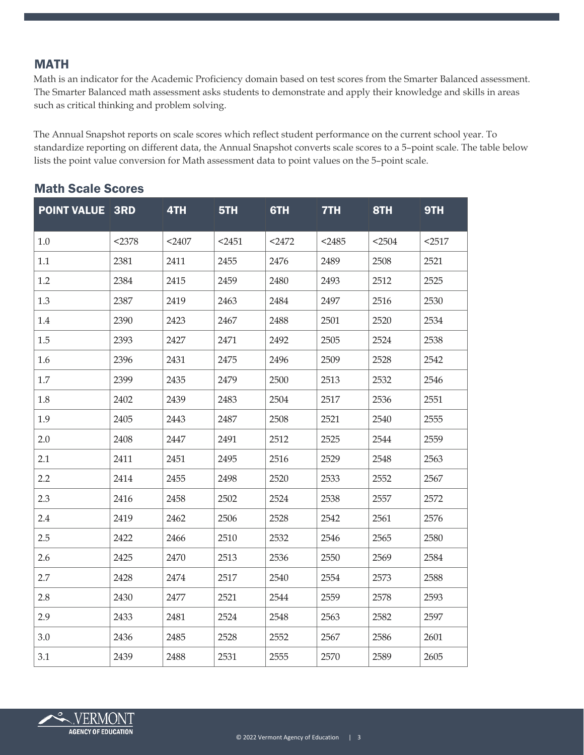#### **MATH**

Math is an indicator for the Academic Proficiency domain based on test scores from the Smarter Balanced assessment. The Smarter Balanced math assessment asks students to demonstrate and apply their knowledge and skills in areas such as critical thinking and problem solving.

The Annual Snapshot reports on scale scores which reflect student performance on the current school year. To standardize reporting on different data, the Annual Snapshot converts scale scores to a 5–point scale. The table below lists the point value conversion for Math assessment data to point values on the 5–point scale.

| <b>POINT VALUE 3RD</b> |        | 4TH    | 5TH    | 6TH    | 7TH    | 8TH    | 9TH    |
|------------------------|--------|--------|--------|--------|--------|--------|--------|
| 1.0                    | < 2378 | $2407$ | $2451$ | $2472$ | $2485$ | < 2504 | $2517$ |
| 1.1                    | 2381   | 2411   | 2455   | 2476   | 2489   | 2508   | 2521   |
| 1.2                    | 2384   | 2415   | 2459   | 2480   | 2493   | 2512   | 2525   |
| 1.3                    | 2387   | 2419   | 2463   | 2484   | 2497   | 2516   | 2530   |
| 1.4                    | 2390   | 2423   | 2467   | 2488   | 2501   | 2520   | 2534   |
| 1.5                    | 2393   | 2427   | 2471   | 2492   | 2505   | 2524   | 2538   |
| 1.6                    | 2396   | 2431   | 2475   | 2496   | 2509   | 2528   | 2542   |
| 1.7                    | 2399   | 2435   | 2479   | 2500   | 2513   | 2532   | 2546   |
| 1.8                    | 2402   | 2439   | 2483   | 2504   | 2517   | 2536   | 2551   |
| 1.9                    | 2405   | 2443   | 2487   | 2508   | 2521   | 2540   | 2555   |
| 2.0                    | 2408   | 2447   | 2491   | 2512   | 2525   | 2544   | 2559   |
| 2.1                    | 2411   | 2451   | 2495   | 2516   | 2529   | 2548   | 2563   |
| 2.2                    | 2414   | 2455   | 2498   | 2520   | 2533   | 2552   | 2567   |
| 2.3                    | 2416   | 2458   | 2502   | 2524   | 2538   | 2557   | 2572   |
| 2.4                    | 2419   | 2462   | 2506   | 2528   | 2542   | 2561   | 2576   |
| 2.5                    | 2422   | 2466   | 2510   | 2532   | 2546   | 2565   | 2580   |
| 2.6                    | 2425   | 2470   | 2513   | 2536   | 2550   | 2569   | 2584   |
| 2.7                    | 2428   | 2474   | 2517   | 2540   | 2554   | 2573   | 2588   |
| 2.8                    | 2430   | 2477   | 2521   | 2544   | 2559   | 2578   | 2593   |
| 2.9                    | 2433   | 2481   | 2524   | 2548   | 2563   | 2582   | 2597   |
| 3.0                    | 2436   | 2485   | 2528   | 2552   | 2567   | 2586   | 2601   |
| 3.1                    | 2439   | 2488   | 2531   | 2555   | 2570   | 2589   | 2605   |

#### Math Scale Scores

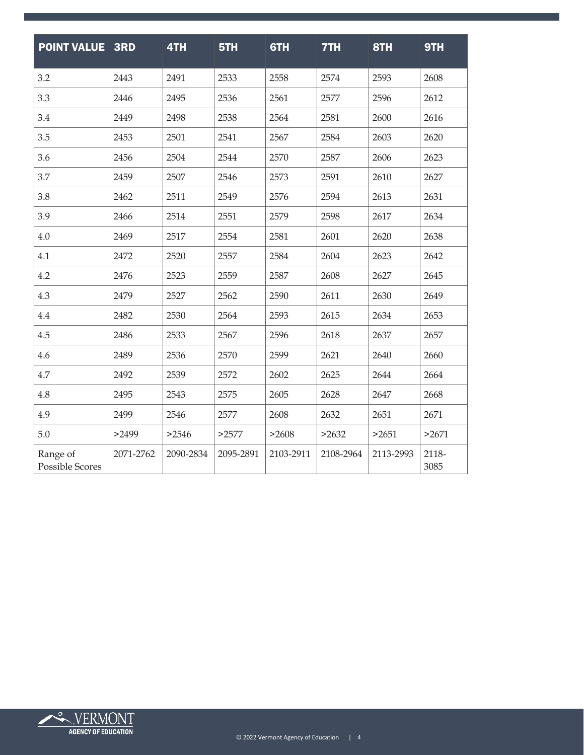| <b>POINT VALUE 3RD</b>             |           | 4TH       | 5TH       | 6TH       | 7TH       | 8TH       | 9TH           |
|------------------------------------|-----------|-----------|-----------|-----------|-----------|-----------|---------------|
| 3.2                                | 2443      | 2491      | 2533      | 2558      | 2574      | 2593      | 2608          |
| 3.3                                | 2446      | 2495      | 2536      | 2561      | 2577      | 2596      | 2612          |
| 3.4                                | 2449      | 2498      | 2538      | 2564      | 2581      | 2600      | 2616          |
| 3.5                                | 2453      | 2501      | 2541      | 2567      | 2584      | 2603      | 2620          |
| 3.6                                | 2456      | 2504      | 2544      | 2570      | 2587      | 2606      | 2623          |
| 3.7                                | 2459      | 2507      | 2546      | 2573      | 2591      | 2610      | 2627          |
| 3.8                                | 2462      | 2511      | 2549      | 2576      | 2594      | 2613      | 2631          |
| 3.9                                | 2466      | 2514      | 2551      | 2579      | 2598      | 2617      | 2634          |
| 4.0                                | 2469      | 2517      | 2554      | 2581      | 2601      | 2620      | 2638          |
| 4.1                                | 2472      | 2520      | 2557      | 2584      | 2604      | 2623      | 2642          |
| 4.2                                | 2476      | 2523      | 2559      | 2587      | 2608      | 2627      | 2645          |
| 4.3                                | 2479      | 2527      | 2562      | 2590      | 2611      | 2630      | 2649          |
| 4.4                                | 2482      | 2530      | 2564      | 2593      | 2615      | 2634      | 2653          |
| 4.5                                | 2486      | 2533      | 2567      | 2596      | 2618      | 2637      | 2657          |
| 4.6                                | 2489      | 2536      | 2570      | 2599      | 2621      | 2640      | 2660          |
| 4.7                                | 2492      | 2539      | 2572      | 2602      | 2625      | 2644      | 2664          |
| 4.8                                | 2495      | 2543      | 2575      | 2605      | 2628      | 2647      | 2668          |
| 4.9                                | 2499      | 2546      | 2577      | 2608      | 2632      | 2651      | 2671          |
| 5.0                                | >2499     | >2546     | >2577     | >2608     | >2632     | >2651     | >2671         |
| Range of<br><b>Possible Scores</b> | 2071-2762 | 2090-2834 | 2095-2891 | 2103-2911 | 2108-2964 | 2113-2993 | 2118-<br>3085 |

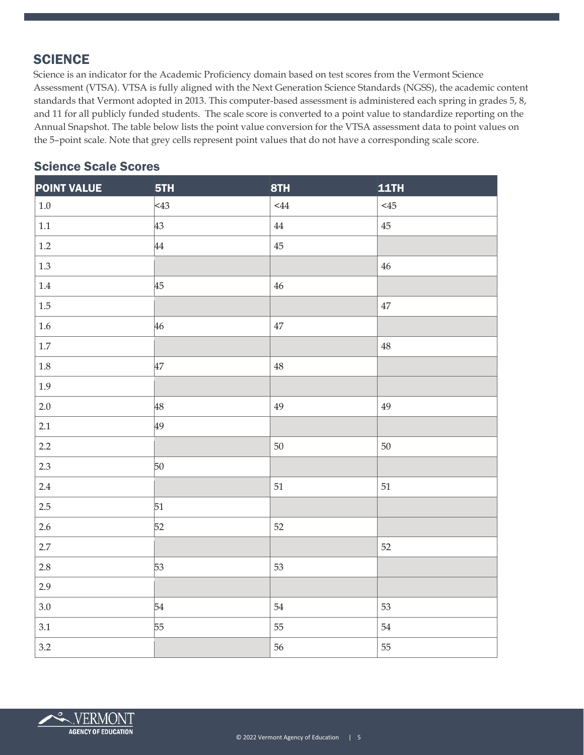# **SCIENCE**

Science is an indicator for the Academic Proficiency domain based on test scores from the Vermont Science Assessment (VTSA). VTSA is fully aligned with the Next Generation Science Standards (NGSS), the academic content standards that Vermont adopted in 2013. This computer-based assessment is administered each spring in grades 5, 8, and 11 for all publicly funded students. The scale score is converted to a point value to standardize reporting on the Annual Snapshot. The table below lists the point value conversion for the VTSA assessment data to point values on the 5–point scale. Note that grey cells represent point values that do not have a corresponding scale score.

## Science Scale Scores

| <b>POINT VALUE</b> | 5TH     | 8TH      | <b>11TH</b> |
|--------------------|---------|----------|-------------|
| $1.0\,$            | $ <$ 43 | 44       | $<\!\!45$   |
| $1.1\,$            | 43      | $\bf 44$ | $45\,$      |
| $1.2\,$            | 44      | $45\,$   |             |
| $1.3\,$            |         |          | $46\,$      |
| $1.4\,$            | 45      | $46\,$   |             |
| $1.5\,$            |         |          | $47\,$      |
| $1.6\,$            | 46      | $47\,$   |             |
| $1.7\,$            |         |          | $48\,$      |
| $1.8\,$            | 47      | $48\,$   |             |
| 1.9                |         |          |             |
| 2.0                | 48      | 49       | 49          |
| 2.1                | 49      |          |             |
| 2.2                |         | 50       | 50          |
| 2.3                | 50      |          |             |
| $2.4\,$            |         | $51\,$   | 51          |
| $2.5\,$            | 51      |          |             |
| $2.6\,$            | 52      | 52       |             |
| 2.7                |         |          | 52          |
| $2.8\,$            | 53      | 53       |             |
| 2.9                |         |          |             |
| $3.0\,$            | 54      | $54\,$   | 53          |
| 3.1                | 55      | 55       | 54          |
| 3.2                |         | 56       | 55          |

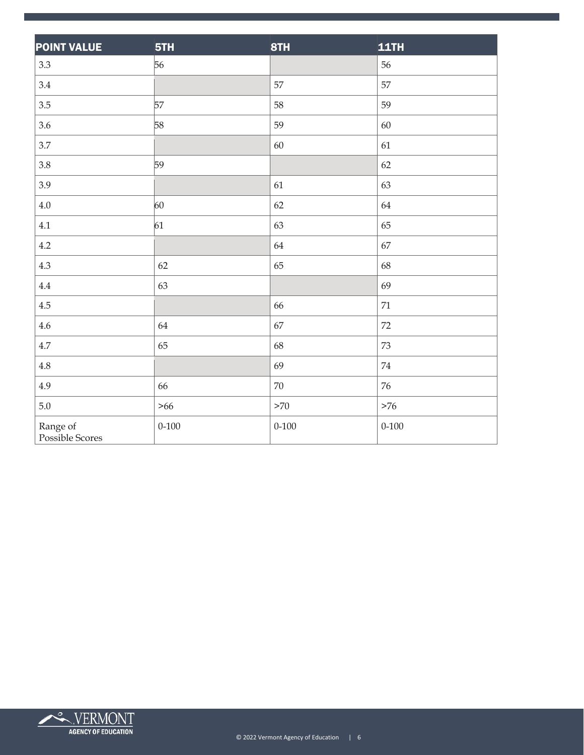| <b>POINT VALUE</b>          | 5TH       | 8TH       | <b>11TH</b> |
|-----------------------------|-----------|-----------|-------------|
| $3.3\phantom{0}$            | 56        |           | 56          |
| 3.4                         |           | 57        | 57          |
| 3.5                         | 57        | 58        | 59          |
| 3.6                         | 58        | 59        | 60          |
| 3.7                         |           | 60        | 61          |
| 3.8                         | 59        |           | 62          |
| 3.9                         |           | 61        | 63          |
| 4.0                         | 60        | 62        | 64          |
| 4.1                         | 61        | 63        | 65          |
| 4.2                         |           | 64        | 67          |
| 4.3                         | 62        | 65        | 68          |
| $4.4\,$                     | 63        |           | 69          |
| $4.5\,$                     |           | 66        | $71\,$      |
| $4.6\,$                     | 64        | 67        | 72          |
| 4.7                         | 65        | 68        | $73\,$      |
| $4.8\,$                     |           | 69        | $74\,$      |
| 4.9                         | 66        | $70\,$    | $76\,$      |
| $5.0\,$                     | $>66$     | >70       | $>76$       |
| Range of<br>Possible Scores | $0 - 100$ | $0 - 100$ | $0 - 100$   |

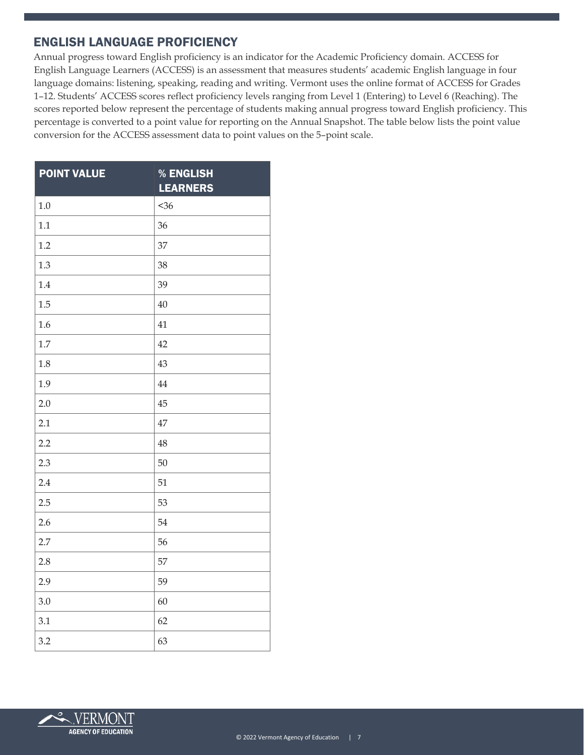#### ENGLISH LANGUAGE PROFICIENCY

Annual progress toward English proficiency is an indicator for the Academic Proficiency domain. ACCESS for English Language Learners (ACCESS) is an assessment that measures students' academic English language in four language domains: listening, speaking, reading and writing. Vermont uses the online format of ACCESS for Grades 1–12. Students' ACCESS scores reflect proficiency levels ranging from Level 1 (Entering) to Level 6 (Reaching). The scores reported below represent the percentage of students making annual progress toward English proficiency. This percentage is converted to a point value for reporting on the Annual Snapshot. The table below lists the point value conversion for the ACCESS assessment data to point values on the 5–point scale.

| <b>POINT VALUE</b> | % ENGLISH<br><b>LEARNERS</b> |
|--------------------|------------------------------|
| 1.0                | $36$                         |
| 1.1                | 36                           |
| 1.2                | 37                           |
| 1.3                | 38                           |
| 1.4                | 39                           |
| 1.5                | 40                           |
| 1.6                | 41                           |
| 1.7                | 42                           |
| 1.8                | 43                           |
| 1.9                | 44                           |
| 2.0                | 45                           |
| 2.1                | 47                           |
| 2.2                | 48                           |
| 2.3                | 50                           |
| 2.4                | 51                           |
| 2.5                | 53                           |
| 2.6                | 54                           |
| 2.7                | 56                           |
| 2.8                | 57                           |
| 2.9                | 59                           |
| 3.0                | 60                           |
| 3.1                | 62                           |
| 3.2                | 63                           |

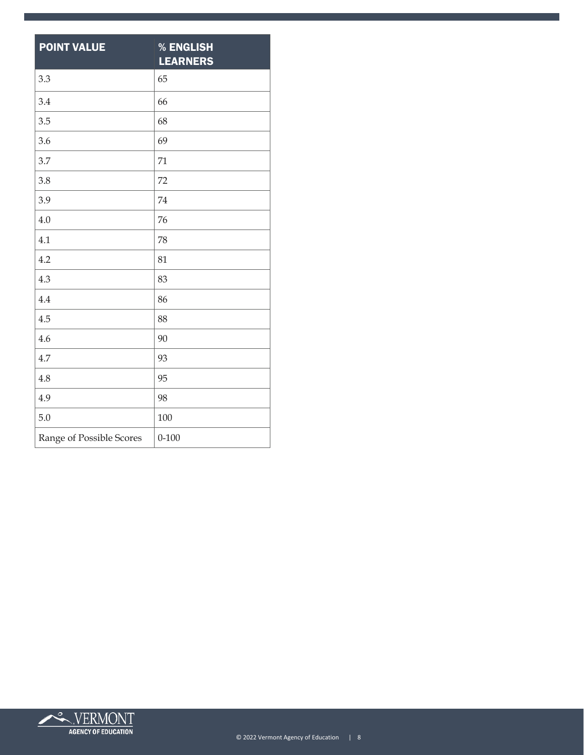| <b>POINT VALUE</b>       | % ENGLISH<br><b>LEARNERS</b> |
|--------------------------|------------------------------|
| 3.3                      | 65                           |
| 3.4                      | 66                           |
| 3.5                      | 68                           |
| 3.6                      | 69                           |
| 3.7                      | 71                           |
| 3.8                      | 72                           |
| 3.9                      | 74                           |
| 4.0                      | 76                           |
| 4.1                      | 78                           |
| 4.2                      | 81                           |
| 4.3                      | 83                           |
| 4.4                      | 86                           |
| 4.5                      | 88                           |
| 4.6                      | 90                           |
| 4.7                      | 93                           |
| 4.8                      | 95                           |
| 4.9                      | 98                           |
| 5.0                      | 100                          |
| Range of Possible Scores | $0 - 100$                    |

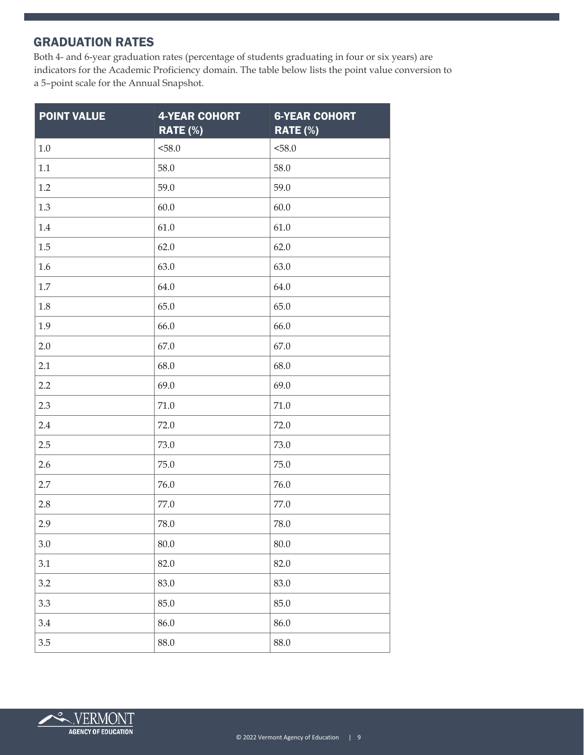#### GRADUATION RATES

Both 4- and 6-year graduation rates (percentage of students graduating in four or six years) are indicators for the Academic Proficiency domain. The table below lists the point value conversion to a 5–point scale for the Annual Snapshot.

| <b>POINT VALUE</b> | <b>4-YEAR COHORT</b><br>RATE (%) | <b>6-YEAR COHORT</b><br>RATE (%) |
|--------------------|----------------------------------|----------------------------------|
| $1.0\,$            | < 58.0                           | 58.0                             |
| $1.1\,$            | 58.0                             | 58.0                             |
| $1.2\,$            | 59.0                             | 59.0                             |
| 1.3                | 60.0                             | 60.0                             |
| $1.4\,$            | 61.0                             | 61.0                             |
| 1.5                | 62.0                             | 62.0                             |
| 1.6                | 63.0                             | 63.0                             |
| $1.7\,$            | 64.0                             | 64.0                             |
| 1.8                | 65.0                             | 65.0                             |
| 1.9                | 66.0                             | 66.0                             |
| 2.0                | 67.0                             | 67.0                             |
| 2.1                | 68.0                             | 68.0                             |
| 2.2                | 69.0                             | 69.0                             |
| 2.3                | 71.0                             | 71.0                             |
| 2.4                | 72.0                             | 72.0                             |
| 2.5                | 73.0                             | 73.0                             |
| 2.6                | 75.0                             | 75.0                             |
| 2.7                | 76.0                             | 76.0                             |
| 2.8                | 77.0                             | 77.0                             |
| 2.9                | 78.0                             | 78.0                             |
| 3.0                | $80.0\,$                         | $80.0\,$                         |
| 3.1                | 82.0                             | 82.0                             |
| 3.2                | 83.0                             | 83.0                             |
| 3.3                | 85.0                             | 85.0                             |
| 3.4                | 86.0                             | 86.0                             |
| 3.5                | 88.0                             | 88.0                             |

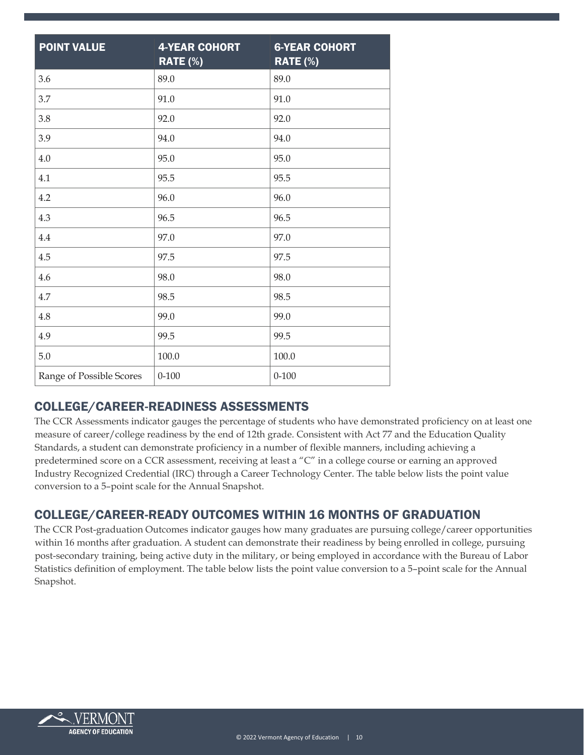| <b>POINT VALUE</b>       | <b>4-YEAR COHORT</b><br><b>RATE (%)</b> | <b>6-YEAR COHORT</b><br><b>RATE (%)</b> |
|--------------------------|-----------------------------------------|-----------------------------------------|
| 3.6                      | 89.0                                    | 89.0                                    |
| 3.7                      | 91.0                                    | 91.0                                    |
| 3.8                      | 92.0                                    | 92.0                                    |
| 3.9                      | 94.0                                    | 94.0                                    |
| 4.0                      | 95.0                                    | 95.0                                    |
| 4.1                      | 95.5                                    | 95.5                                    |
| 4.2                      | 96.0                                    | 96.0                                    |
| 4.3                      | 96.5                                    | 96.5                                    |
| 4.4                      | 97.0                                    | 97.0                                    |
| 4.5                      | 97.5                                    | 97.5                                    |
| 4.6                      | 98.0                                    | 98.0                                    |
| 4.7                      | 98.5                                    | 98.5                                    |
| 4.8                      | 99.0                                    | 99.0                                    |
| 4.9                      | 99.5                                    | 99.5                                    |
| $5.0\,$                  | 100.0                                   | 100.0                                   |
| Range of Possible Scores | $0 - 100$                               | $0 - 100$                               |

#### COLLEGE/CAREER-READINESS ASSESSMENTS

The CCR Assessments indicator gauges the percentage of students who have demonstrated proficiency on at least one measure of career/college readiness by the end of 12th grade. Consistent with Act 77 and the Education Quality Standards, a student can demonstrate proficiency in a number of flexible manners, including achieving a predetermined score on a CCR assessment, receiving at least a "C" in a college course or earning an approved Industry Recognized Credential (IRC) through a Career Technology Center. The table below lists the point value conversion to a 5–point scale for the Annual Snapshot.

# COLLEGE/CAREER-READY OUTCOMES WITHIN 16 MONTHS OF GRADUATION

The CCR Post-graduation Outcomes indicator gauges how many graduates are pursuing college/career opportunities within 16 months after graduation. A student can demonstrate their readiness by being enrolled in college, pursuing post-secondary training, being active duty in the military, or being employed in accordance with the Bureau of Labor Statistics definition of employment. The table below lists the point value conversion to a 5–point scale for the Annual Snapshot.

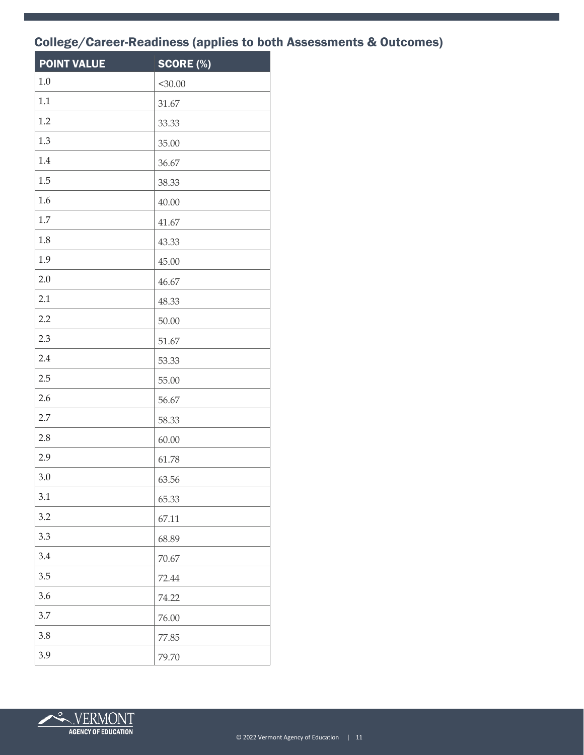# College/Career-Readiness (applies to both Assessments & Outcomes)

| <b>POINT VALUE</b> | SCORE (%) |
|--------------------|-----------|
| 1.0                | $<$ 30.00 |
| 1.1                | 31.67     |
| 1.2                | 33.33     |
| 1.3                | 35.00     |
| 1.4                | 36.67     |
| 1.5                | 38.33     |
| 1.6                | 40.00     |
| 1.7                | 41.67     |
| 1.8                | 43.33     |
| 1.9                | 45.00     |
| 2.0                | 46.67     |
| 2.1                | 48.33     |
| 2.2                | 50.00     |
| 2.3                | 51.67     |
| 2.4                | 53.33     |
| 2.5                | 55.00     |
| 2.6                | 56.67     |
| 2.7                | 58.33     |
| 2.8                | 60.00     |
| 2.9                | 61.78     |
| $3.0\,$            | 63.56     |
| 3.1                | 65.33     |
| 3.2                | 67.11     |
| 3.3                | 68.89     |
| 3.4                | 70.67     |
| 3.5                | 72.44     |
| 3.6                | 74.22     |
| 3.7                | 76.00     |
| 3.8                | 77.85     |
| 3.9                | 79.70     |

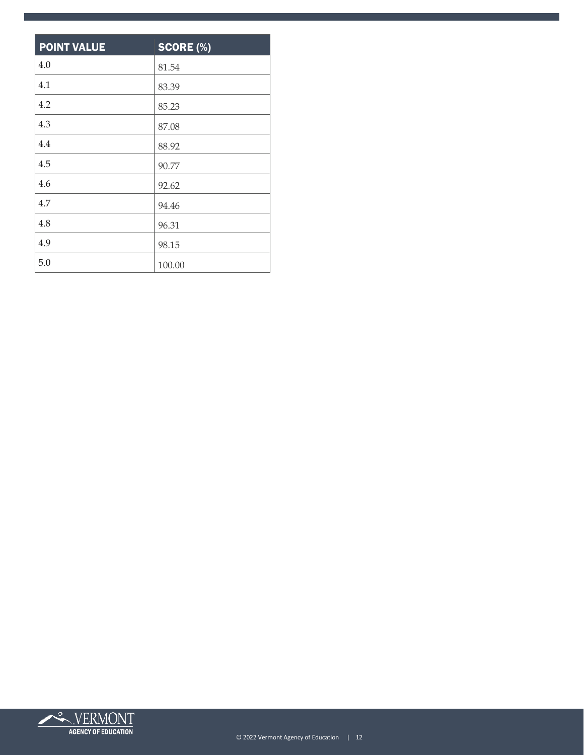| <b>POINT VALUE</b> | <b>SCORE (%)</b> |
|--------------------|------------------|
| 4.0                | 81.54            |
| 4.1                | 83.39            |
| 4.2                | 85.23            |
| 4.3                | 87.08            |
| 4.4                | 88.92            |
| 4.5                | 90.77            |
| 4.6                | 92.62            |
| 4.7                | 94.46            |
| 4.8                | 96.31            |
| 4.9                | 98.15            |
| 5.0                | 100.00           |

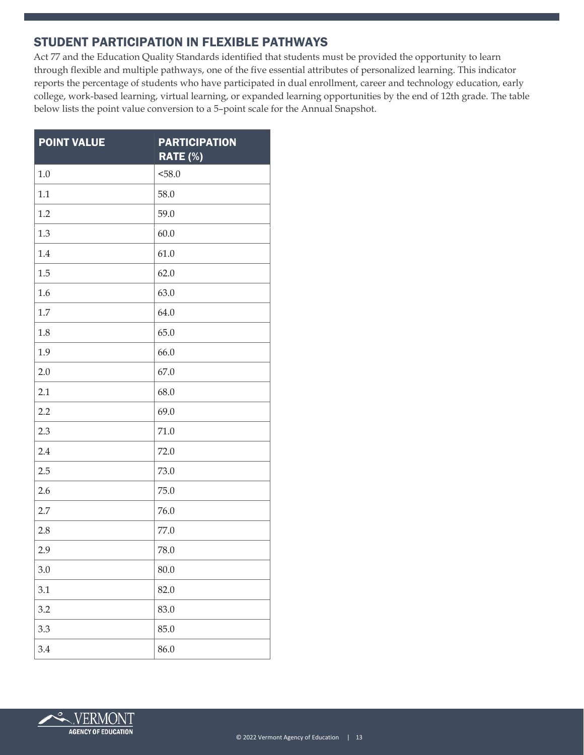#### STUDENT PARTICIPATION IN FLEXIBLE PATHWAYS

Act 77 and the Education Quality Standards identified that students must be provided the opportunity to learn through flexible and multiple pathways, one of the five essential attributes of personalized learning. This indicator reports the percentage of students who have participated in dual enrollment, career and technology education, early college, work-based learning, virtual learning, or expanded learning opportunities by the end of 12th grade. The table below lists the point value conversion to a 5–point scale for the Annual Snapshot.

| <b>POINT VALUE</b> | <b>PARTICIPATION</b><br>RATE (%) |
|--------------------|----------------------------------|
| 1.0                | < 58.0                           |
| 1.1                | 58.0                             |
| 1.2                | 59.0                             |
| 1.3                | 60.0                             |
| 1.4                | 61.0                             |
| 1.5                | 62.0                             |
| 1.6                | 63.0                             |
| 1.7                | 64.0                             |
| 1.8                | 65.0                             |
| 1.9                | 66.0                             |
| 2.0                | 67.0                             |
| 2.1                | 68.0                             |
| 2.2                | 69.0                             |
| 2.3                | 71.0                             |
| 2.4                | 72.0                             |
| 2.5                | 73.0                             |
| 2.6                | 75.0                             |
| 2.7                | 76.0                             |
| 2.8                | 77.0                             |
| 2.9                | 78.0                             |
| 3.0                | 80.0                             |
| 3.1                | 82.0                             |
| 3.2                | 83.0                             |
| 3.3                | 85.0                             |
| 3.4                | 86.0                             |

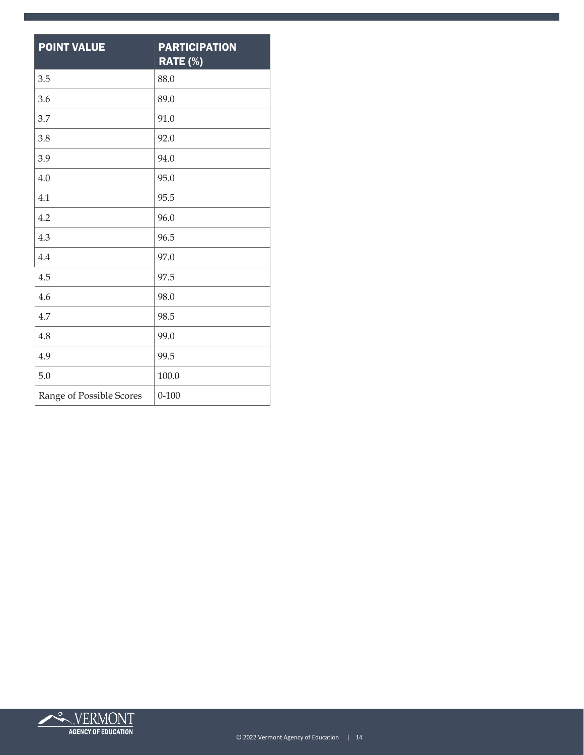| <b>POINT VALUE</b>       | <b>PARTICIPATION</b><br>RATE (%) |
|--------------------------|----------------------------------|
| 3.5                      | 88.0                             |
| 3.6                      | 89.0                             |
| 3.7                      | 91.0                             |
| 3.8                      | 92.0                             |
| 3.9                      | 94.0                             |
| 4.0                      | 95.0                             |
| 4.1                      | 95.5                             |
| 4.2                      | 96.0                             |
| 4.3                      | 96.5                             |
| 4.4                      | 97.0                             |
| 4.5                      | 97.5                             |
| 4.6                      | 98.0                             |
| 4.7                      | 98.5                             |
| 4.8                      | 99.0                             |
| 4.9                      | 99.5                             |
| 5.0                      | 100.0                            |
| Range of Possible Scores | $0 - 100$                        |

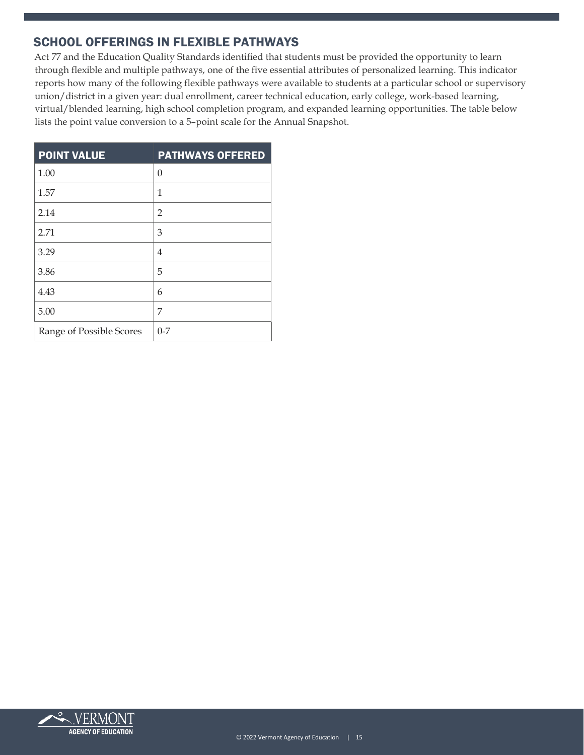#### SCHOOL OFFERINGS IN FLEXIBLE PATHWAYS

Act 77 and the Education Quality Standards identified that students must be provided the opportunity to learn through flexible and multiple pathways, one of the five essential attributes of personalized learning. This indicator reports how many of the following flexible pathways were available to students at a particular school or supervisory union/district in a given year: dual enrollment, career technical education, early college, work-based learning, virtual/blended learning, high school completion program, and expanded learning opportunities. The table below lists the point value conversion to a 5–point scale for the Annual Snapshot.

| <b>POINT VALUE</b>       | <b>PATHWAYS OFFERED</b> |
|--------------------------|-------------------------|
| 1.00                     | $\theta$                |
| 1.57                     | 1                       |
| 2.14                     | $\overline{2}$          |
| 2.71                     | 3                       |
| 3.29                     | 4                       |
| 3.86                     | 5                       |
| 4.43                     | 6                       |
| 5.00                     | 7                       |
| Range of Possible Scores | $0 - 7$                 |

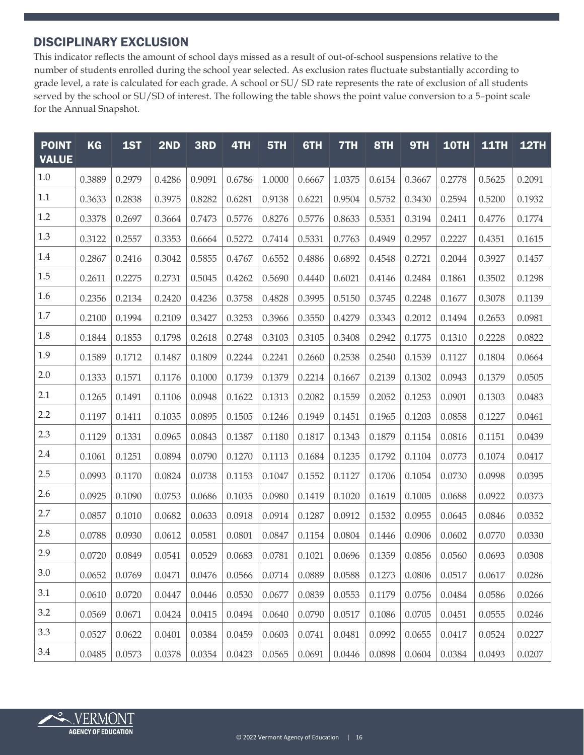#### DISCIPLINARY EXCLUSION

This indicator reflects the amount of school days missed as a result of out-of-school suspensions relative to the number of students enrolled during the school year selected. As exclusion rates fluctuate substantially according to grade level, a rate is calculated for each grade. A school or SU/ SD rate represents the rate of exclusion of all students served by the school or SU/SD of interest. The following the table shows the point value conversion to a 5–point scale for the Annual Snapshot.

| <b>POINT</b><br><b>VALUE</b> | <b>KG</b> | 1ST    | 2ND    | 3RD    | 4TH    | 5TH    | 6TH    | 7TH    | 8TH    | 9TH    | <b>10TH</b> | <b>11TH</b> | <b>12TH</b> |
|------------------------------|-----------|--------|--------|--------|--------|--------|--------|--------|--------|--------|-------------|-------------|-------------|
| 1.0                          | 0.3889    | 0.2979 | 0.4286 | 0.9091 | 0.6786 | 1.0000 | 0.6667 | 1.0375 | 0.6154 | 0.3667 | 0.2778      | 0.5625      | 0.2091      |
| 1.1                          | 0.3633    | 0.2838 | 0.3975 | 0.8282 | 0.6281 | 0.9138 | 0.6221 | 0.9504 | 0.5752 | 0.3430 | 0.2594      | 0.5200      | 0.1932      |
| 1.2                          | 0.3378    | 0.2697 | 0.3664 | 0.7473 | 0.5776 | 0.8276 | 0.5776 | 0.8633 | 0.5351 | 0.3194 | 0.2411      | 0.4776      | 0.1774      |
| 1.3                          | 0.3122    | 0.2557 | 0.3353 | 0.6664 | 0.5272 | 0.7414 | 0.5331 | 0.7763 | 0.4949 | 0.2957 | 0.2227      | 0.4351      | 0.1615      |
| 1.4                          | 0.2867    | 0.2416 | 0.3042 | 0.5855 | 0.4767 | 0.6552 | 0.4886 | 0.6892 | 0.4548 | 0.2721 | 0.2044      | 0.3927      | 0.1457      |
| 1.5                          | 0.2611    | 0.2275 | 0.2731 | 0.5045 | 0.4262 | 0.5690 | 0.4440 | 0.6021 | 0.4146 | 0.2484 | 0.1861      | 0.3502      | 0.1298      |
| 1.6                          | 0.2356    | 0.2134 | 0.2420 | 0.4236 | 0.3758 | 0.4828 | 0.3995 | 0.5150 | 0.3745 | 0.2248 | 0.1677      | 0.3078      | 0.1139      |
| 1.7                          | 0.2100    | 0.1994 | 0.2109 | 0.3427 | 0.3253 | 0.3966 | 0.3550 | 0.4279 | 0.3343 | 0.2012 | 0.1494      | 0.2653      | 0.0981      |
| $1.8\,$                      | 0.1844    | 0.1853 | 0.1798 | 0.2618 | 0.2748 | 0.3103 | 0.3105 | 0.3408 | 0.2942 | 0.1775 | 0.1310      | 0.2228      | 0.0822      |
| 1.9                          | 0.1589    | 0.1712 | 0.1487 | 0.1809 | 0.2244 | 0.2241 | 0.2660 | 0.2538 | 0.2540 | 0.1539 | 0.1127      | 0.1804      | 0.0664      |
| 2.0                          | 0.1333    | 0.1571 | 0.1176 | 0.1000 | 0.1739 | 0.1379 | 0.2214 | 0.1667 | 0.2139 | 0.1302 | 0.0943      | 0.1379      | 0.0505      |
| 2.1                          | 0.1265    | 0.1491 | 0.1106 | 0.0948 | 0.1622 | 0.1313 | 0.2082 | 0.1559 | 0.2052 | 0.1253 | 0.0901      | 0.1303      | 0.0483      |
| 2.2                          | 0.1197    | 0.1411 | 0.1035 | 0.0895 | 0.1505 | 0.1246 | 0.1949 | 0.1451 | 0.1965 | 0.1203 | 0.0858      | 0.1227      | 0.0461      |
| 2.3                          | 0.1129    | 0.1331 | 0.0965 | 0.0843 | 0.1387 | 0.1180 | 0.1817 | 0.1343 | 0.1879 | 0.1154 | 0.0816      | 0.1151      | 0.0439      |
| 2.4                          | 0.1061    | 0.1251 | 0.0894 | 0.0790 | 0.1270 | 0.1113 | 0.1684 | 0.1235 | 0.1792 | 0.1104 | 0.0773      | 0.1074      | 0.0417      |
| 2.5                          | 0.0993    | 0.1170 | 0.0824 | 0.0738 | 0.1153 | 0.1047 | 0.1552 | 0.1127 | 0.1706 | 0.1054 | 0.0730      | 0.0998      | 0.0395      |
| 2.6                          | 0.0925    | 0.1090 | 0.0753 | 0.0686 | 0.1035 | 0.0980 | 0.1419 | 0.1020 | 0.1619 | 0.1005 | 0.0688      | 0.0922      | 0.0373      |
| 2.7                          | 0.0857    | 0.1010 | 0.0682 | 0.0633 | 0.0918 | 0.0914 | 0.1287 | 0.0912 | 0.1532 | 0.0955 | 0.0645      | 0.0846      | 0.0352      |
| 2.8                          | 0.0788    | 0.0930 | 0.0612 | 0.0581 | 0.0801 | 0.0847 | 0.1154 | 0.0804 | 0.1446 | 0.0906 | 0.0602      | 0.0770      | 0.0330      |
| 2.9                          | 0.0720    | 0.0849 | 0.0541 | 0.0529 | 0.0683 | 0.0781 | 0.1021 | 0.0696 | 0.1359 | 0.0856 | 0.0560      | 0.0693      | 0.0308      |
| 3.0                          | 0.0652    | 0.0769 | 0.0471 | 0.0476 | 0.0566 | 0.0714 | 0.0889 | 0.0588 | 0.1273 | 0.0806 | 0.0517      | 0.0617      | 0.0286      |
| 3.1                          | 0.0610    | 0.0720 | 0.0447 | 0.0446 | 0.0530 | 0.0677 | 0.0839 | 0.0553 | 0.1179 | 0.0756 | 0.0484      | 0.0586      | 0.0266      |
| 3.2                          | 0.0569    | 0.0671 | 0.0424 | 0.0415 | 0.0494 | 0.0640 | 0.0790 | 0.0517 | 0.1086 | 0.0705 | 0.0451      | 0.0555      | 0.0246      |
| 3.3                          | 0.0527    | 0.0622 | 0.0401 | 0.0384 | 0.0459 | 0.0603 | 0.0741 | 0.0481 | 0.0992 | 0.0655 | 0.0417      | 0.0524      | 0.0227      |
| 3.4                          | 0.0485    | 0.0573 | 0.0378 | 0.0354 | 0.0423 | 0.0565 | 0.0691 | 0.0446 | 0.0898 | 0.0604 | 0.0384      | 0.0493      | 0.0207      |

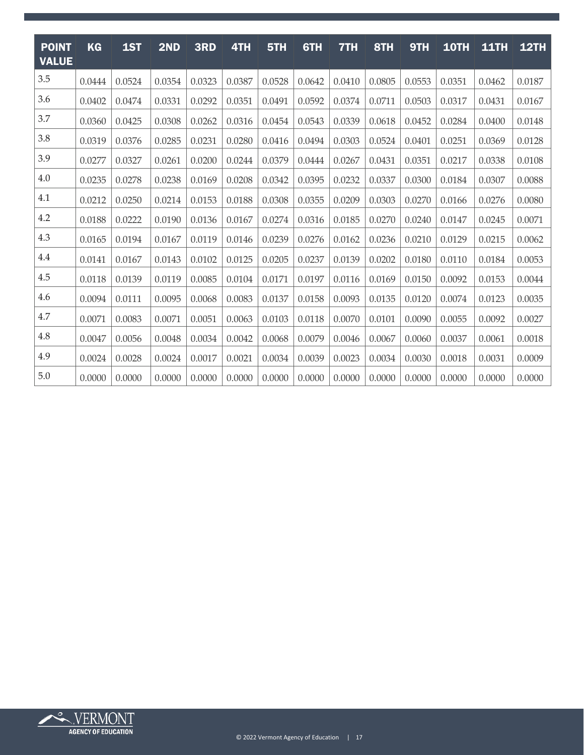| <b>POINT</b><br><b>VALUE</b> | <b>KG</b> | 1ST    | 2ND    | 3RD    | 4TH    | 5TH    | 6TH    | 7TH    | 8TH    | 9TH    | <b>10TH</b> | <b>11TH</b> | <b>12TH</b> |
|------------------------------|-----------|--------|--------|--------|--------|--------|--------|--------|--------|--------|-------------|-------------|-------------|
| 3.5                          | 0.0444    | 0.0524 | 0.0354 | 0.0323 | 0.0387 | 0.0528 | 0.0642 | 0.0410 | 0.0805 | 0.0553 | 0.0351      | 0.0462      | 0.0187      |
| 3.6                          | 0.0402    | 0.0474 | 0.0331 | 0.0292 | 0.0351 | 0.0491 | 0.0592 | 0.0374 | 0.0711 | 0.0503 | 0.0317      | 0.0431      | 0.0167      |
| 3.7                          | 0.0360    | 0.0425 | 0.0308 | 0.0262 | 0.0316 | 0.0454 | 0.0543 | 0.0339 | 0.0618 | 0.0452 | 0.0284      | 0.0400      | 0.0148      |
| 3.8                          | 0.0319    | 0.0376 | 0.0285 | 0.0231 | 0.0280 | 0.0416 | 0.0494 | 0.0303 | 0.0524 | 0.0401 | 0.0251      | 0.0369      | 0.0128      |
| 3.9                          | 0.0277    | 0.0327 | 0.0261 | 0.0200 | 0.0244 | 0.0379 | 0.0444 | 0.0267 | 0.0431 | 0.0351 | 0.0217      | 0.0338      | 0.0108      |
| 4.0                          | 0.0235    | 0.0278 | 0.0238 | 0.0169 | 0.0208 | 0.0342 | 0.0395 | 0.0232 | 0.0337 | 0.0300 | 0.0184      | 0.0307      | 0.0088      |
| 4.1                          | 0.0212    | 0.0250 | 0.0214 | 0.0153 | 0.0188 | 0.0308 | 0.0355 | 0.0209 | 0.0303 | 0.0270 | 0.0166      | 0.0276      | 0.0080      |
| 4.2                          | 0.0188    | 0.0222 | 0.0190 | 0.0136 | 0.0167 | 0.0274 | 0.0316 | 0.0185 | 0.0270 | 0.0240 | 0.0147      | 0.0245      | 0.0071      |
| 4.3                          | 0.0165    | 0.0194 | 0.0167 | 0.0119 | 0.0146 | 0.0239 | 0.0276 | 0.0162 | 0.0236 | 0.0210 | 0.0129      | 0.0215      | 0.0062      |
| 4.4                          | 0.0141    | 0.0167 | 0.0143 | 0.0102 | 0.0125 | 0.0205 | 0.0237 | 0.0139 | 0.0202 | 0.0180 | 0.0110      | 0.0184      | 0.0053      |
| 4.5                          | 0.0118    | 0.0139 | 0.0119 | 0.0085 | 0.0104 | 0.0171 | 0.0197 | 0.0116 | 0.0169 | 0.0150 | 0.0092      | 0.0153      | 0.0044      |
| 4.6                          | 0.0094    | 0.0111 | 0.0095 | 0.0068 | 0.0083 | 0.0137 | 0.0158 | 0.0093 | 0.0135 | 0.0120 | 0.0074      | 0.0123      | 0.0035      |
| 4.7                          | 0.0071    | 0.0083 | 0.0071 | 0.0051 | 0.0063 | 0.0103 | 0.0118 | 0.0070 | 0.0101 | 0.0090 | 0.0055      | 0.0092      | 0.0027      |
| 4.8                          | 0.0047    | 0.0056 | 0.0048 | 0.0034 | 0.0042 | 0.0068 | 0.0079 | 0.0046 | 0.0067 | 0.0060 | 0.0037      | 0.0061      | 0.0018      |
| 4.9                          | 0.0024    | 0.0028 | 0.0024 | 0.0017 | 0.0021 | 0.0034 | 0.0039 | 0.0023 | 0.0034 | 0.0030 | 0.0018      | 0.0031      | 0.0009      |
| 5.0                          | 0.0000    | 0.0000 | 0.0000 | 0.0000 | 0.0000 | 0.0000 | 0.0000 | 0.0000 | 0.0000 | 0.0000 | 0.0000      | 0.0000      | 0.0000      |

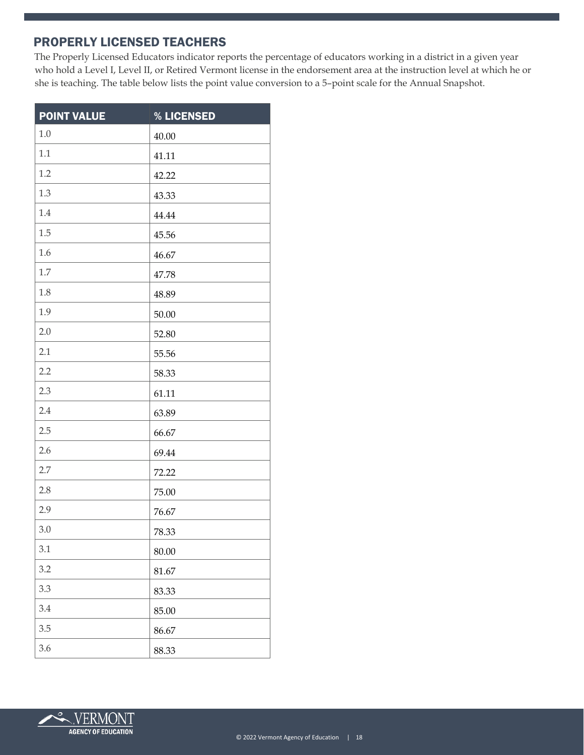#### PROPERLY LICENSED TEACHERS

The Properly Licensed Educators indicator reports the percentage of educators working in a district in a given year who hold a Level I, Level II, or Retired Vermont license in the endorsement area at the instruction level at which he or she is teaching. The table below lists the point value conversion to a 5–point scale for the Annual Snapshot.

| <b>POINT VALUE</b> | % LICENSED |
|--------------------|------------|
| $1.0\,$            | 40.00      |
| 1.1                | 41.11      |
| 1.2                | 42.22      |
| 1.3                | 43.33      |
| 1.4                | 44.44      |
| 1.5                | 45.56      |
| 1.6                | 46.67      |
| 1.7                | 47.78      |
| 1.8                | 48.89      |
| 1.9                | 50.00      |
| 2.0                | 52.80      |
| 2.1                | 55.56      |
| 2.2                | 58.33      |
| 2.3                | 61.11      |
| 2.4                | 63.89      |
| 2.5                | 66.67      |
| 2.6                | 69.44      |
| 2.7                | 72.22      |
| 2.8                | 75.00      |
| 2.9                | 76.67      |
| 3.0                | 78.33      |
| 3.1                | 80.00      |
| 3.2                | 81.67      |
| 3.3                | 83.33      |
| 3.4                | 85.00      |
| 3.5                | 86.67      |
| 3.6                | 88.33      |

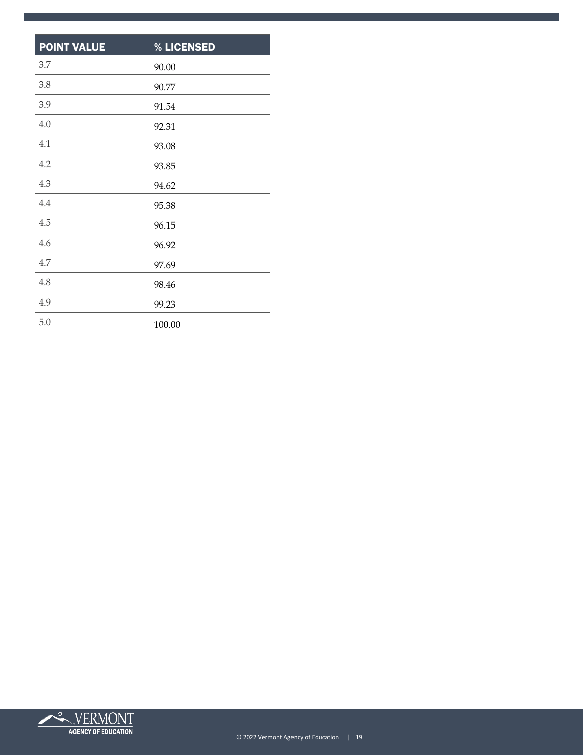| <b>POINT VALUE</b> | % LICENSED |
|--------------------|------------|
| 3.7                | 90.00      |
| 3.8                | 90.77      |
| 3.9                | 91.54      |
| 4.0                | 92.31      |
| 4.1                | 93.08      |
| 4.2                | 93.85      |
| 4.3                | 94.62      |
| 4.4                | 95.38      |
| 4.5                | 96.15      |
| 4.6                | 96.92      |
| 4.7                | 97.69      |
| 4.8                | 98.46      |
| 4.9                | 99.23      |
| 5.0                | 100.00     |

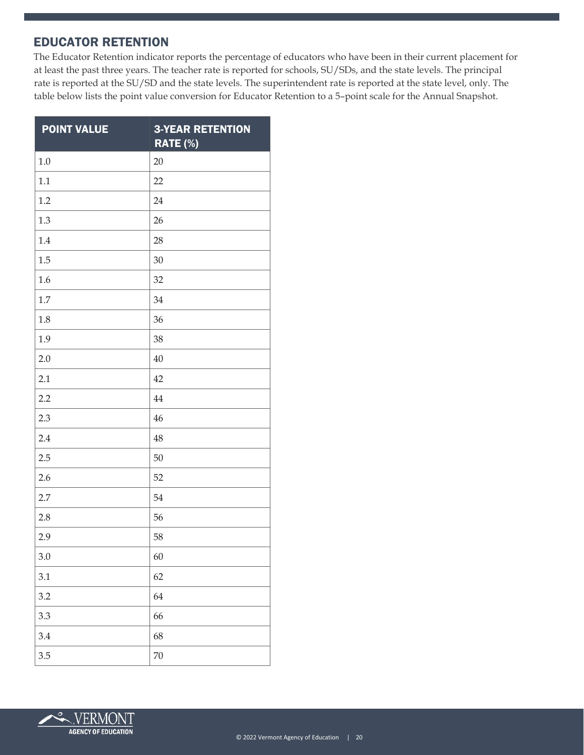#### EDUCATOR RETENTION

The Educator Retention indicator reports the percentage of educators who have been in their current placement for at least the past three years. The teacher rate is reported for schools, SU/SDs, and the state levels. The principal rate is reported at the SU/SD and the state levels. The superintendent rate is reported at the state level, only. The table below lists the point value conversion for Educator Retention to a 5–point scale for the Annual Snapshot.

| <b>POINT VALUE</b> | <b>3-YEAR RETENTION</b><br><b>RATE (%)</b> |
|--------------------|--------------------------------------------|
| 1.0                | 20                                         |
| 1.1                | 22                                         |
| 1.2                | 24                                         |
| 1.3                | 26                                         |
| 1.4                | 28                                         |
| 1.5                | 30                                         |
| 1.6                | 32                                         |
| 1.7                | 34                                         |
| 1.8                | 36                                         |
| 1.9                | 38                                         |
| 2.0                | 40                                         |
| 2.1                | 42                                         |
| 2.2                | 44                                         |
| 2.3                | 46                                         |
| 2.4                | 48                                         |
| 2.5                | 50                                         |
| 2.6                | 52                                         |
| 2.7                | 54                                         |
| 2.8                | 56                                         |
| 2.9                | 58                                         |
| 3.0                | 60                                         |
| 3.1                | 62                                         |
| 3.2                | 64                                         |
| 3.3                | 66                                         |
| 3.4                | 68                                         |
| 3.5                | 70                                         |

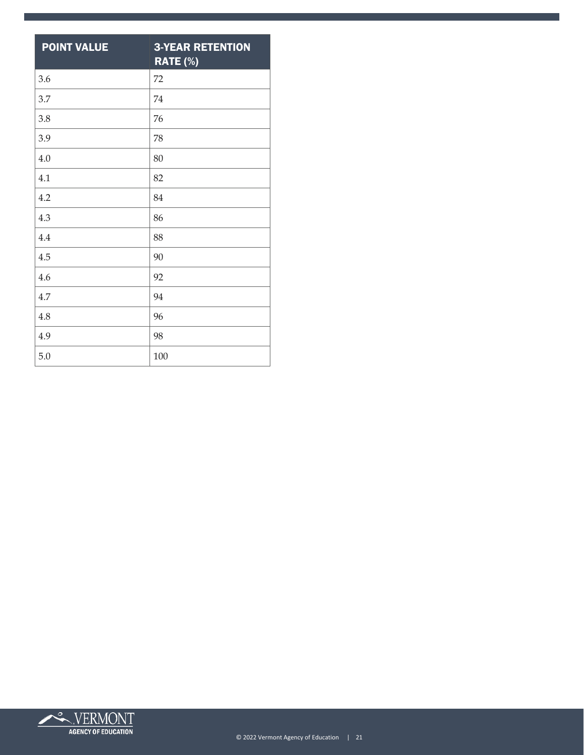| <b>POINT VALUE</b> | <b>3-YEAR RETENTION</b><br>RATE (%) |
|--------------------|-------------------------------------|
| 3.6                | 72                                  |
| 3.7                | 74                                  |
| 3.8                | 76                                  |
| 3.9                | 78                                  |
| 4.0                | 80                                  |
| 4.1                | 82                                  |
| 4.2                | 84                                  |
| 4.3                | 86                                  |
| 4.4                | 88                                  |
| 4.5                | 90                                  |
| 4.6                | 92                                  |
| 4.7                | 94                                  |
| 4.8                | 96                                  |
| 4.9                | 98                                  |
| 5.0                | 100                                 |

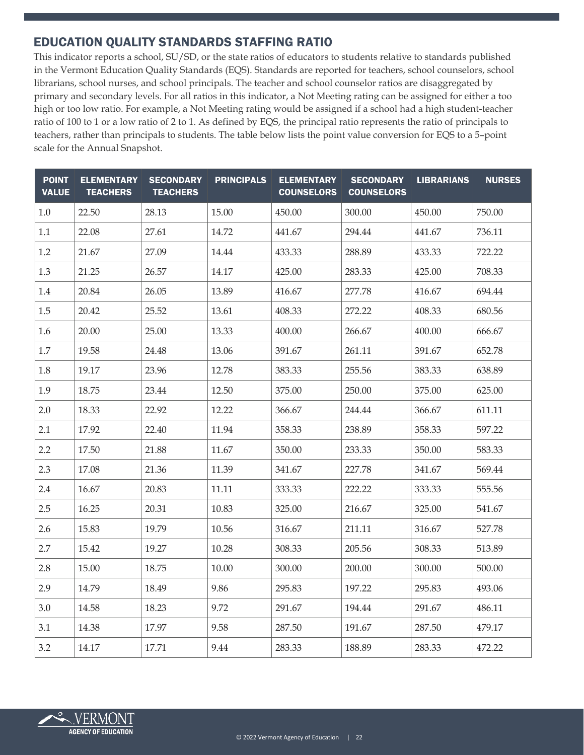#### EDUCATION QUALITY STANDARDS STAFFING RATIO

This indicator reports a school, SU/SD, or the state ratios of educators to students relative to standards published in the Vermont Education Quality Standards (EQS). Standards are reported for teachers, school counselors, school librarians, school nurses, and school principals. The teacher and school counselor ratios are disaggregated by primary and secondary levels. For all ratios in this indicator, a Not Meeting rating can be assigned for either a too high or too low ratio. For example, a Not Meeting rating would be assigned if a school had a high student-teacher ratio of 100 to 1 or a low ratio of 2 to 1. As defined by EQS, the principal ratio represents the ratio of principals to teachers, rather than principals to students. The table below lists the point value conversion for EQS to a 5–point scale for the Annual Snapshot.

| <b>POINT</b><br><b>VALUE</b> | <b>ELEMENTARY</b><br><b>TEACHERS</b> | <b>SECONDARY</b><br><b>TEACHERS</b> | <b>PRINCIPALS</b> | <b>ELEMENTARY</b><br><b>COUNSELORS</b> | <b>SECONDARY</b><br><b>COUNSELORS</b> | <b>LIBRARIANS</b> | <b>NURSES</b> |
|------------------------------|--------------------------------------|-------------------------------------|-------------------|----------------------------------------|---------------------------------------|-------------------|---------------|
| 1.0                          | 22.50                                | 28.13                               | 15.00             | 450.00                                 | 300.00                                | 450.00            | 750.00        |
| 1.1                          | 22.08                                | 27.61                               | 14.72             | 441.67                                 | 294.44                                | 441.67            | 736.11        |
| 1.2                          | 21.67                                | 27.09                               | 14.44             | 433.33                                 | 288.89                                | 433.33            | 722.22        |
| 1.3                          | 21.25                                | 26.57                               | 14.17             | 425.00                                 | 283.33                                | 425.00            | 708.33        |
| 1.4                          | 20.84                                | 26.05                               | 13.89             | 416.67                                 | 277.78                                | 416.67            | 694.44        |
| 1.5                          | 20.42                                | 25.52                               | 13.61             | 408.33                                 | 272.22                                | 408.33            | 680.56        |
| 1.6                          | 20.00                                | 25.00                               | 13.33             | 400.00                                 | 266.67                                | 400.00            | 666.67        |
| 1.7                          | 19.58                                | 24.48                               | 13.06             | 391.67                                 | 261.11                                | 391.67            | 652.78        |
| 1.8                          | 19.17                                | 23.96                               | 12.78             | 383.33                                 | 255.56                                | 383.33            | 638.89        |
| 1.9                          | 18.75                                | 23.44                               | 12.50             | 375.00                                 | 250.00                                | 375.00            | 625.00        |
| 2.0                          | 18.33                                | 22.92                               | 12.22             | 366.67                                 | 244.44                                | 366.67            | 611.11        |
| 2.1                          | 17.92                                | 22.40                               | 11.94             | 358.33                                 | 238.89                                | 358.33            | 597.22        |
| 2.2                          | 17.50                                | 21.88                               | 11.67             | 350.00                                 | 233.33                                | 350.00            | 583.33        |
| 2.3                          | 17.08                                | 21.36                               | 11.39             | 341.67                                 | 227.78                                | 341.67            | 569.44        |
| 2.4                          | 16.67                                | 20.83                               | 11.11             | 333.33                                 | 222.22                                | 333.33            | 555.56        |
| 2.5                          | 16.25                                | 20.31                               | 10.83             | 325.00                                 | 216.67                                | 325.00            | 541.67        |
| 2.6                          | 15.83                                | 19.79                               | 10.56             | 316.67                                 | 211.11                                | 316.67            | 527.78        |
| 2.7                          | 15.42                                | 19.27                               | 10.28             | 308.33                                 | 205.56                                | 308.33            | 513.89        |
| 2.8                          | 15.00                                | 18.75                               | 10.00             | 300.00                                 | 200.00                                | 300.00            | 500.00        |
| 2.9                          | 14.79                                | 18.49                               | 9.86              | 295.83                                 | 197.22                                | 295.83            | 493.06        |
| 3.0                          | 14.58                                | 18.23                               | 9.72              | 291.67                                 | 194.44                                | 291.67            | 486.11        |
| 3.1                          | 14.38                                | 17.97                               | 9.58              | 287.50                                 | 191.67                                | 287.50            | 479.17        |
| 3.2                          | 14.17                                | 17.71                               | 9.44              | 283.33                                 | 188.89                                | 283.33            | 472.22        |

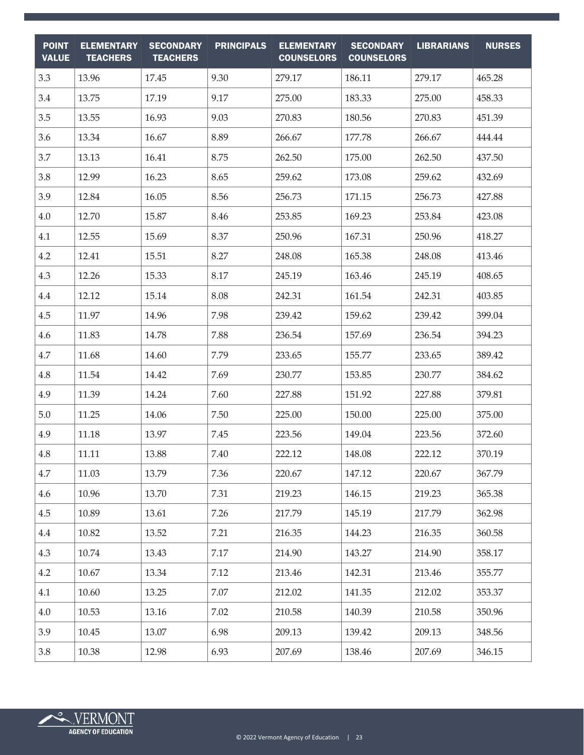| <b>POINT</b><br><b>VALUE</b> | <b>ELEMENTARY</b><br><b>TEACHERS</b> | <b>SECONDARY</b><br><b>TEACHERS</b> | <b>PRINCIPALS</b> | <b>ELEMENTARY</b><br><b>COUNSELORS</b> | <b>SECONDARY</b><br><b>COUNSELORS</b> | <b>LIBRARIANS</b> | <b>NURSES</b> |
|------------------------------|--------------------------------------|-------------------------------------|-------------------|----------------------------------------|---------------------------------------|-------------------|---------------|
| 3.3                          | 13.96                                | 17.45                               | 9.30              | 279.17                                 | 186.11                                | 279.17            | 465.28        |
| 3.4                          | 13.75                                | 17.19                               | 9.17              | 275.00                                 | 183.33                                | 275.00            | 458.33        |
| 3.5                          | 13.55                                | 16.93                               | 9.03              | 270.83                                 | 180.56                                | 270.83            | 451.39        |
| 3.6                          | 13.34                                | 16.67                               | 8.89              | 266.67                                 | 177.78                                | 266.67            | 444.44        |
| 3.7                          | 13.13                                | 16.41                               | 8.75              | 262.50                                 | 175.00                                | 262.50            | 437.50        |
| 3.8                          | 12.99                                | 16.23                               | 8.65              | 259.62                                 | 173.08                                | 259.62            | 432.69        |
| 3.9                          | 12.84                                | 16.05                               | 8.56              | 256.73                                 | 171.15                                | 256.73            | 427.88        |
| 4.0                          | 12.70                                | 15.87                               | 8.46              | 253.85                                 | 169.23                                | 253.84            | 423.08        |
| 4.1                          | 12.55                                | 15.69                               | 8.37              | 250.96                                 | 167.31                                | 250.96            | 418.27        |
| 4.2                          | 12.41                                | 15.51                               | 8.27              | 248.08                                 | 165.38                                | 248.08            | 413.46        |
| 4.3                          | 12.26                                | 15.33                               | 8.17              | 245.19                                 | 163.46                                | 245.19            | 408.65        |
| 4.4                          | 12.12                                | 15.14                               | 8.08              | 242.31                                 | 161.54                                | 242.31            | 403.85        |
| 4.5                          | 11.97                                | 14.96                               | 7.98              | 239.42                                 | 159.62                                | 239.42            | 399.04        |
| 4.6                          | 11.83                                | 14.78                               | 7.88              | 236.54                                 | 157.69                                | 236.54            | 394.23        |
| 4.7                          | 11.68                                | 14.60                               | 7.79              | 233.65                                 | 155.77                                | 233.65            | 389.42        |
| 4.8                          | 11.54                                | 14.42                               | 7.69              | 230.77                                 | 153.85                                | 230.77            | 384.62        |
| 4.9                          | 11.39                                | 14.24                               | 7.60              | 227.88                                 | 151.92                                | 227.88            | 379.81        |
| 5.0                          | 11.25                                | 14.06                               | 7.50              | 225.00                                 | 150.00                                | 225.00            | 375.00        |
| 4.9                          | 11.18                                | 13.97                               | 7.45              | 223.56                                 | 149.04                                | 223.56            | 372.60        |
| 4.8                          | 11.11                                | 13.88                               | 7.40              | 222.12                                 | 148.08                                | 222.12            | 370.19        |
| 4.7                          | 11.03                                | 13.79                               | 7.36              | 220.67                                 | 147.12                                | 220.67            | 367.79        |
| 4.6                          | 10.96                                | 13.70                               | 7.31              | 219.23                                 | 146.15                                | 219.23            | 365.38        |
| 4.5                          | 10.89                                | 13.61                               | 7.26              | 217.79                                 | 145.19                                | 217.79            | 362.98        |
| 4.4                          | 10.82                                | 13.52                               | 7.21              | 216.35                                 | 144.23                                | 216.35            | 360.58        |
| 4.3                          | 10.74                                | 13.43                               | 7.17              | 214.90                                 | 143.27                                | 214.90            | 358.17        |
| 4.2                          | 10.67                                | 13.34                               | 7.12              | 213.46                                 | 142.31                                | 213.46            | 355.77        |
| 4.1                          | 10.60                                | 13.25                               | 7.07              | 212.02                                 | 141.35                                | 212.02            | 353.37        |
| 4.0                          | 10.53                                | 13.16                               | 7.02              | 210.58                                 | 140.39                                | 210.58            | 350.96        |
| 3.9                          | 10.45                                | 13.07                               | 6.98              | 209.13                                 | 139.42                                | 209.13            | 348.56        |
| 3.8                          | 10.38                                | 12.98                               | 6.93              | 207.69                                 | 138.46                                | 207.69            | 346.15        |